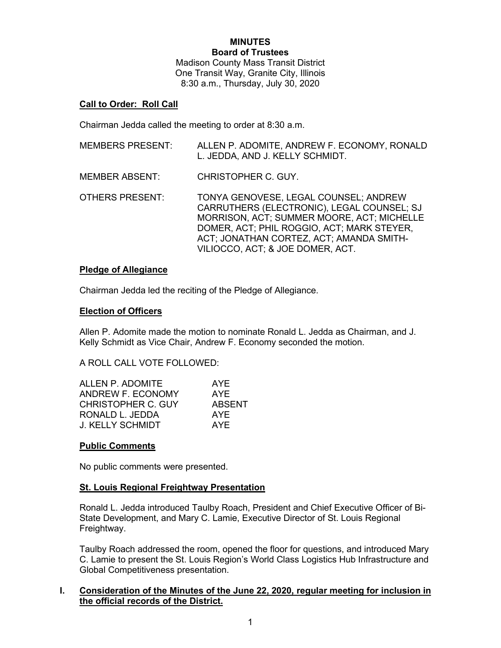#### **MINUTES Board of Trustees**

Madison County Mass Transit District One Transit Way, Granite City, Illinois 8:30 a.m., Thursday, July 30, 2020

# **Call to Order: Roll Call**

Chairman Jedda called the meeting to order at 8:30 a.m.

| <b>MEMBERS PRESENT:</b> | ALLEN P. ADOMITE, ANDREW F. ECONOMY, RONALD<br>L. JEDDA, AND J. KELLY SCHMIDT.                                                                                                                                                                                  |
|-------------------------|-----------------------------------------------------------------------------------------------------------------------------------------------------------------------------------------------------------------------------------------------------------------|
| MEMBER ABSENT:          | CHRISTOPHER C. GUY.                                                                                                                                                                                                                                             |
| OTHERS PRESENT:         | TONYA GENOVESE, LEGAL COUNSEL; ANDREW<br>CARRUTHERS (ELECTRONIC), LEGAL COUNSEL; SJ<br>MORRISON, ACT; SUMMER MOORE, ACT; MICHELLE<br>DOMER, ACT; PHIL ROGGIO, ACT; MARK STEYER,<br>ACT; JONATHAN CORTEZ, ACT; AMANDA SMITH-<br>VILIOCCO, ACT; & JOE DOMER, ACT. |

# **Pledge of Allegiance**

Chairman Jedda led the reciting of the Pledge of Allegiance.

# **Election of Officers**

Allen P. Adomite made the motion to nominate Ronald L. Jedda as Chairman, and J. Kelly Schmidt as Vice Chair, Andrew F. Economy seconded the motion.

A ROLL CALL VOTE FOLLOWED:

| ALLEN P. ADOMITE          | AYE           |
|---------------------------|---------------|
| ANDREW F. ECONOMY         | AYE           |
| <b>CHRISTOPHER C. GUY</b> | <b>ABSENT</b> |
| RONALD L. JEDDA           | AYF           |
| J. KELLY SCHMIDT          | <b>AYF</b>    |

# **Public Comments**

No public comments were presented.

# **St. Louis Regional Freightway Presentation**

Ronald L. Jedda introduced Taulby Roach, President and Chief Executive Officer of Bi-State Development, and Mary C. Lamie, Executive Director of St. Louis Regional Freightway.

Taulby Roach addressed the room, opened the floor for questions, and introduced Mary C. Lamie to present the St. Louis Region's World Class Logistics Hub Infrastructure and Global Competitiveness presentation.

# **I. Consideration of the Minutes of the June 22, 2020, regular meeting for inclusion in the official records of the District.**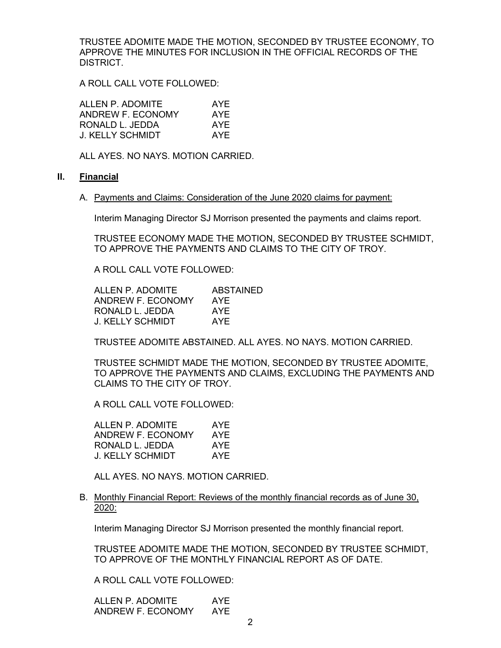TRUSTEE ADOMITE MADE THE MOTION, SECONDED BY TRUSTEE ECONOMY, TO APPROVE THE MINUTES FOR INCLUSION IN THE OFFICIAL RECORDS OF THE DISTRICT.

A ROLL CALL VOTE FOLLOWED:

| ALLEN P. ADOMITE        | AYE |
|-------------------------|-----|
| ANDREW F. ECONOMY       | AYE |
| RONALD L. JEDDA         | AYF |
| <b>J. KELLY SCHMIDT</b> | AYF |

ALL AYES. NO NAYS. MOTION CARRIED.

### **II. Financial**

A. Payments and Claims: Consideration of the June 2020 claims for payment:

Interim Managing Director SJ Morrison presented the payments and claims report.

TRUSTEE ECONOMY MADE THE MOTION, SECONDED BY TRUSTEE SCHMIDT, TO APPROVE THE PAYMENTS AND CLAIMS TO THE CITY OF TROY.

A ROLL CALL VOTE FOLLOWED:

| ALLEN P. ADOMITE  | ABSTAINED |
|-------------------|-----------|
| ANDREW F. ECONOMY | AYE       |
| RONALD L. JEDDA   | AYE       |
| J. KELLY SCHMIDT  | AYE       |

TRUSTEE ADOMITE ABSTAINED. ALL AYES. NO NAYS. MOTION CARRIED.

TRUSTEE SCHMIDT MADE THE MOTION, SECONDED BY TRUSTEE ADOMITE, TO APPROVE THE PAYMENTS AND CLAIMS, EXCLUDING THE PAYMENTS AND CLAIMS TO THE CITY OF TROY.

A ROLL CALL VOTE FOLLOWED:

| ALLEN P. ADOMITE  | AYE |
|-------------------|-----|
| ANDREW F. ECONOMY | AYE |
| RONALD L. JEDDA   | AYF |
| J. KELLY SCHMIDT  | AYF |

ALL AYES. NO NAYS. MOTION CARRIED.

B. Monthly Financial Report: Reviews of the monthly financial records as of June 30, 2020:

Interim Managing Director SJ Morrison presented the monthly financial report.

TRUSTEE ADOMITE MADE THE MOTION, SECONDED BY TRUSTEE SCHMIDT, TO APPROVE OF THE MONTHLY FINANCIAL REPORT AS OF DATE.

A ROLL CALL VOTE FOLLOWED:

ALLEN P. ADOMITE AYE ANDREW F. ECONOMY AYE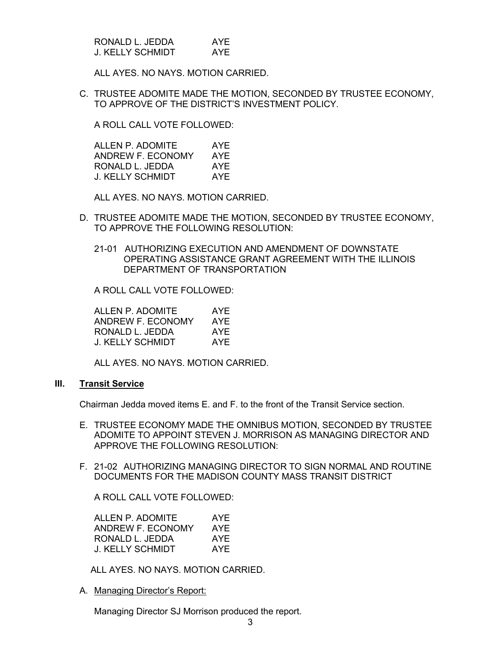| RONALD L. JEDDA  | AYF |
|------------------|-----|
| J. KELLY SCHMIDT | AYE |

ALL AYES. NO NAYS. MOTION CARRIED.

C. TRUSTEE ADOMITE MADE THE MOTION, SECONDED BY TRUSTEE ECONOMY, TO APPROVE OF THE DISTRICT'S INVESTMENT POLICY.

A ROLL CALL VOTE FOLLOWED:

ALLEN P. ADOMITE AYE ANDREW F. ECONOMY AYE RONALD L. JEDDA AYE J. KELLY SCHMIDT AYE

ALL AYES. NO NAYS. MOTION CARRIED.

- D. TRUSTEE ADOMITE MADE THE MOTION, SECONDED BY TRUSTEE ECONOMY, TO APPROVE THE FOLLOWING RESOLUTION:
	- 21-01 AUTHORIZING EXECUTION AND AMENDMENT OF DOWNSTATE OPERATING ASSISTANCE GRANT AGREEMENT WITH THE ILLINOIS DEPARTMENT OF TRANSPORTATION

A ROLL CALL VOTE FOLLOWED:

ALLEN P. ADOMITE AYE ANDREW F. ECONOMY AYE RONALD L. JEDDA AYE J. KELLY SCHMIDT AYE

ALL AYES. NO NAYS. MOTION CARRIED.

# **III. Transit Service**

Chairman Jedda moved items E. and F. to the front of the Transit Service section.

- E. TRUSTEE ECONOMY MADE THE OMNIBUS MOTION, SECONDED BY TRUSTEE ADOMITE TO APPOINT STEVEN J. MORRISON AS MANAGING DIRECTOR AND APPROVE THE FOLLOWING RESOLUTION:
- F. 21-02 AUTHORIZING MANAGING DIRECTOR TO SIGN NORMAL AND ROUTINE DOCUMENTS FOR THE MADISON COUNTY MASS TRANSIT DISTRICT

A ROLL CALL VOTE FOLLOWED:

| ALLEN P. ADOMITE  | AYE |
|-------------------|-----|
| ANDREW F. ECONOMY | AYE |
| RONALD L. JEDDA   | AYE |
| J. KELLY SCHMIDT  | AYF |

ALL AYES. NO NAYS. MOTION CARRIED.

A. Managing Director's Report:

Managing Director SJ Morrison produced the report.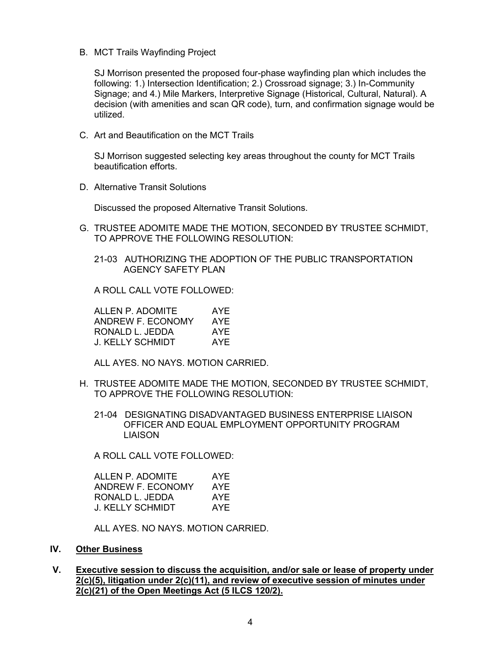B. MCT Trails Wayfinding Project

SJ Morrison presented the proposed four-phase wayfinding plan which includes the following: 1.) Intersection Identification; 2.) Crossroad signage; 3.) In-Community Signage; and 4.) Mile Markers, Interpretive Signage (Historical, Cultural, Natural). A decision (with amenities and scan QR code), turn, and confirmation signage would be utilized.

C. Art and Beautification on the MCT Trails

SJ Morrison suggested selecting key areas throughout the county for MCT Trails beautification efforts.

D. Alternative Transit Solutions

Discussed the proposed Alternative Transit Solutions.

G. TRUSTEE ADOMITE MADE THE MOTION, SECONDED BY TRUSTEE SCHMIDT, TO APPROVE THE FOLLOWING RESOLUTION:

21-03 AUTHORIZING THE ADOPTION OF THE PUBLIC TRANSPORTATION AGENCY SAFETY PLAN

A ROLL CALL VOTE FOLLOWED:

ALLEN P. ADOMITE AYE ANDREW F. ECONOMY AYE RONALD L. JEDDA AYE<br>J. KELLY SCHMIDT AYE **J. KELLY SCHMIDT** 

ALL AYES. NO NAYS. MOTION CARRIED.

- H. TRUSTEE ADOMITE MADE THE MOTION, SECONDED BY TRUSTEE SCHMIDT, TO APPROVE THE FOLLOWING RESOLUTION:
	- 21-04 DESIGNATING DISADVANTAGED BUSINESS ENTERPRISE LIAISON OFFICER AND EQUAL EMPLOYMENT OPPORTUNITY PROGRAM LIAISON

A ROLL CALL VOTE FOLLOWED:

| ALLEN P. ADOMITE  | AYE |
|-------------------|-----|
| ANDREW F. ECONOMY | AYF |
| RONALD L. JEDDA   | AYE |
| J. KELLY SCHMIDT  | AYF |

ALL AYES. NO NAYS. MOTION CARRIED.

# **IV. Other Business**

**V. Executive session to discuss the acquisition, and/or sale or lease of property under 2(c)(5), litigation under 2(c)(11), and review of executive session of minutes under 2(c)(21) of the Open Meetings Act (5 ILCS 120/2).**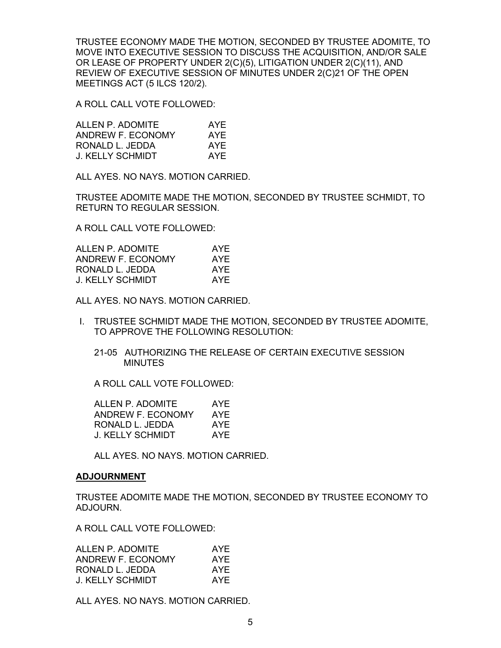TRUSTEE ECONOMY MADE THE MOTION, SECONDED BY TRUSTEE ADOMITE, TO MOVE INTO EXECUTIVE SESSION TO DISCUSS THE ACQUISITION, AND/OR SALE OR LEASE OF PROPERTY UNDER 2(C)(5), LITIGATION UNDER 2(C)(11), AND REVIEW OF EXECUTIVE SESSION OF MINUTES UNDER 2(C)21 OF THE OPEN MEETINGS ACT (5 ILCS 120/2).

A ROLL CALL VOTE FOLLOWED:

| ALLEN P. ADOMITE        | AYE |
|-------------------------|-----|
| ANDREW F. ECONOMY       | AYE |
| RONALD L. JEDDA         | AYF |
| <b>J. KELLY SCHMIDT</b> | AYE |

ALL AYES. NO NAYS. MOTION CARRIED.

TRUSTEE ADOMITE MADE THE MOTION, SECONDED BY TRUSTEE SCHMIDT, TO RETURN TO REGULAR SESSION.

A ROLL CALL VOTE FOLLOWED:

| ALLEN P. ADOMITE  | AYE |
|-------------------|-----|
| ANDREW F. ECONOMY | AYE |
| RONALD L. JEDDA   | AYF |
| J. KELLY SCHMIDT  | AYF |

ALL AYES. NO NAYS. MOTION CARRIED.

- I. TRUSTEE SCHMIDT MADE THE MOTION, SECONDED BY TRUSTEE ADOMITE, TO APPROVE THE FOLLOWING RESOLUTION:
	- 21-05 AUTHORIZING THE RELEASE OF CERTAIN EXECUTIVE SESSION MINUTES

A ROLL CALL VOTE FOLLOWED:

| ALLEN P. ADOMITE  | AYE |
|-------------------|-----|
| ANDREW F. ECONOMY | AYE |
| RONALD L. JEDDA   | AYE |
| J. KELLY SCHMIDT  | AYE |

ALL AYES. NO NAYS. MOTION CARRIED.

# **ADJOURNMENT**

TRUSTEE ADOMITE MADE THE MOTION, SECONDED BY TRUSTEE ECONOMY TO ADJOURN.

A ROLL CALL VOTE FOLLOWED:

| AYE |
|-----|
| AYE |
| AYE |
| AYF |
|     |

ALL AYES. NO NAYS. MOTION CARRIED.